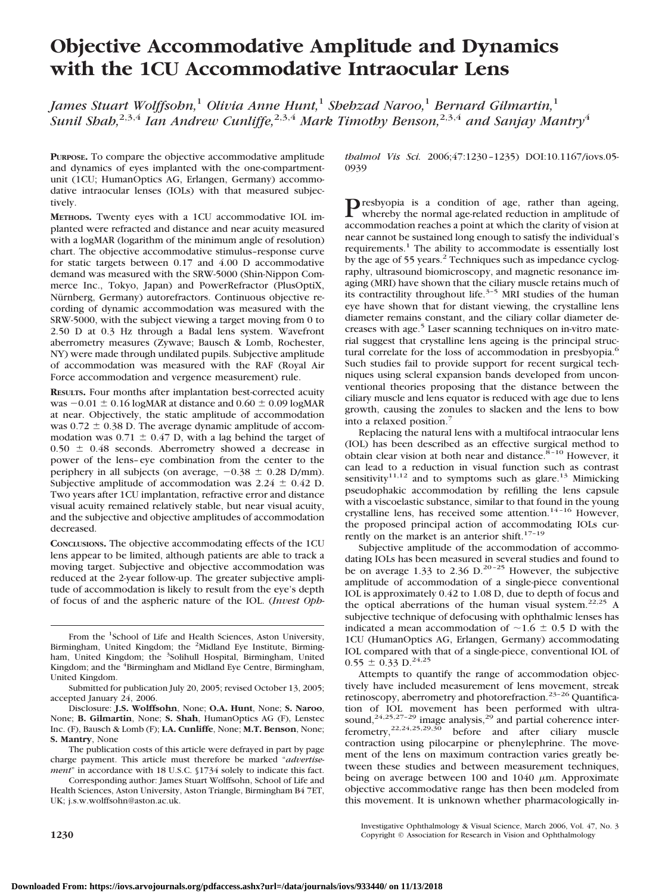# **Objective Accommodative Amplitude and Dynamics with the 1CU Accommodative Intraocular Lens**

*James Stuart Wolffsohn,*<sup>1</sup> *Olivia Anne Hunt,*<sup>1</sup> *Shehzad Naroo,*<sup>1</sup> *Bernard Gilmartin,*<sup>1</sup> *Sunil Shah,*2,3,4 *Ian Andrew Cunliffe,*2,3,4 *Mark Timothy Benson,*2,3,4 *and Sanjay Mantry*<sup>4</sup>

**PURPOSE.** To compare the objective accommodative amplitude and dynamics of eyes implanted with the one-compartmentunit (1CU; HumanOptics AG, Erlangen, Germany) accommodative intraocular lenses (IOLs) with that measured subjectively.

**METHODS.** Twenty eyes with a 1CU accommodative IOL implanted were refracted and distance and near acuity measured with a logMAR (logarithm of the minimum angle of resolution) chart. The objective accommodative stimulus–response curve for static targets between 0.17 and 4.00 D accommodative demand was measured with the SRW-5000 (Shin-Nippon Commerce Inc., Tokyo, Japan) and PowerRefractor (PlusOptiX, Nürnberg, Germany) autorefractors. Continuous objective recording of dynamic accommodation was measured with the SRW-5000, with the subject viewing a target moving from 0 to 2.50 D at 0.3 Hz through a Badal lens system. Wavefront aberrometry measures (Zywave; Bausch & Lomb, Rochester, NY) were made through undilated pupils. Subjective amplitude of accommodation was measured with the RAF (Royal Air Force accommodation and vergence measurement) rule.

**RESULTS.** Four months after implantation best-corrected acuity was  $-0.01 \pm 0.16$  logMAR at distance and  $0.60 \pm 0.09$  logMAR at near. Objectively, the static amplitude of accommodation was  $0.72 \pm 0.38$  D. The average dynamic amplitude of accommodation was  $0.71 \pm 0.47$  D, with a lag behind the target of  $0.50 \pm 0.48$  seconds. Aberrometry showed a decrease in power of the lens–eye combination from the center to the periphery in all subjects (on average,  $-0.38 \pm 0.28$  D/mm). Subjective amplitude of accommodation was  $2.24 \pm 0.42$  D. Two years after 1CU implantation, refractive error and distance visual acuity remained relatively stable, but near visual acuity, and the subjective and objective amplitudes of accommodation decreased.

**CONCLUSIONS.** The objective accommodating effects of the 1CU lens appear to be limited, although patients are able to track a moving target. Subjective and objective accommodation was reduced at the 2-year follow-up. The greater subjective amplitude of accommodation is likely to result from the eye's depth of focus of and the aspheric nature of the IOL. (*Invest Oph-*

From the <sup>1</sup>School of Life and Health Sciences, Aston University, Birmingham, United Kingdom; the <sup>2</sup>Midland Eye Institute, Birmingham, United Kingdom; the <sup>3</sup>Solihull Hospital, Birmingham, United Kingdom; and the <sup>4</sup>Birmingham and Midland Eye Centre, Birmingham, United Kingdom.

Submitted for publication July 20, 2005; revised October 13, 2005; accepted January 24, 2006.

Disclosure: **J.S. Wolffsohn**, None; **O.A. Hunt**, None; **S. Naroo**, None; **B. Gilmartin**, None; **S. Shah**, HumanOptics AG (F), Lenstec Inc. (F), Bausch & Lomb (F); **I.A. Cunliffe**, None; **M.T. Benson**, None; **S. Mantry**, None

The publication costs of this article were defrayed in part by page charge payment. This article must therefore be marked "*advertisement*" in accordance with 18 U.S.C. §1734 solely to indicate this fact.

Corresponding author: James Stuart Wolffsohn, School of Life and Health Sciences, Aston University, Aston Triangle, Birmingham B4 7ET, UK; j.s.w.wolffsohn@aston.ac.uk.

*thalmol Vis Sci.* 2006;47:1230–1235) DOI:10.1167/iovs.05- 0939

**P**resbyopia is a condition of age, rather than ageing,<br>whereby the normal age-related reduction in amplitude of accommodation reaches a point at which the clarity of vision at near cannot be sustained long enough to satisfy the individual's requirements.<sup>1</sup> The ability to accommodate is essentially lost by the age of 55 years.<sup>2</sup> Techniques such as impedance cyclography, ultrasound biomicroscopy, and magnetic resonance imaging (MRI) have shown that the ciliary muscle retains much of its contractility throughout life.<sup>3-5</sup> MRI studies of the human eye have shown that for distant viewing, the crystalline lens diameter remains constant, and the ciliary collar diameter decreases with age.<sup>5</sup> Laser scanning techniques on in-vitro material suggest that crystalline lens ageing is the principal structural correlate for the loss of accommodation in presbyopia.<sup>6</sup> Such studies fail to provide support for recent surgical techniques using scleral expansion bands developed from unconventional theories proposing that the distance between the ciliary muscle and lens equator is reduced with age due to lens growth, causing the zonules to slacken and the lens to bow into a relaxed position.7

Replacing the natural lens with a multifocal intraocular lens (IOL) has been described as an effective surgical method to obtain clear vision at both near and distance. $8\overline{5}$ -10 However, it can lead to a reduction in visual function such as contrast sensitivity<sup>11,12</sup> and to symptoms such as glare.<sup>13</sup> Mimicking pseudophakic accommodation by refilling the lens capsule with a viscoelastic substance, similar to that found in the young crystalline lens, has received some attention.<sup>14-16</sup> However, the proposed principal action of accommodating IOLs currently on the market is an anterior shift.<sup>17-19</sup>

Subjective amplitude of the accommodation of accommodating IOLs has been measured in several studies and found to be on average 1.33 to 2.36 D.<sup>20-25</sup> However, the subjective amplitude of accommodation of a single-piece conventional IOL is approximately 0.42 to 1.08 D, due to depth of focus and the optical aberrations of the human visual system.<sup>22,25</sup> A subjective technique of defocusing with ophthalmic lenses has indicated a mean accommodation of  $\sim$ 1.6  $\pm$  0.5 D with the 1CU (HumanOptics AG, Erlangen, Germany) accommodating IOL compared with that of a single-piece, conventional IOL of  $0.55 \pm 0.33 \text{ D.}^{24,25}$ 

Attempts to quantify the range of accommodation objectively have included measurement of lens movement, streak retinoscopy, aberrometry and photorefraction.<sup>23-26</sup> Quantification of IOL movement has been performed with ultrasound,<sup>24,25,27-29</sup> image analysis,<sup>29</sup> and partial coherence interferometry,  $^{22,24,25,29,30}$  before and after ciliary muscle contraction using pilocarpine or phenylephrine. The movement of the lens on maximum contraction varies greatly between these studies and between measurement techniques, being on average between 100 and 1040  $\mu$ m. Approximate objective accommodative range has then been modeled from this movement. It is unknown whether pharmacologically in-

Investigative Ophthalmology & Visual Science, March 2006, Vol. 47, No. 3 **1230** Copyright © Association for Research in Vision and Ophthalmology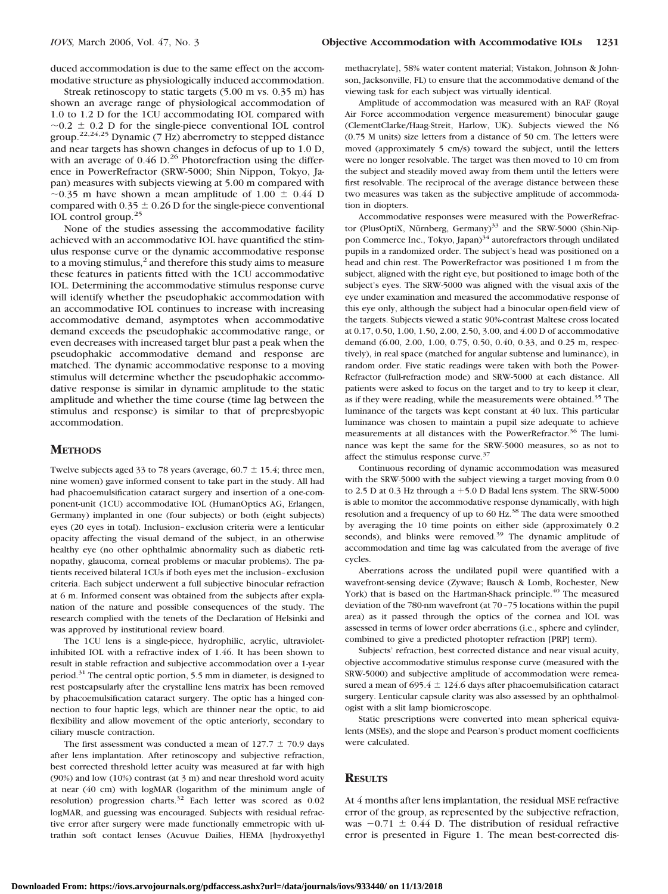duced accommodation is due to the same effect on the accommodative structure as physiologically induced accommodation.

Streak retinoscopy to static targets (5.00 m vs. 0.35 m) has shown an average range of physiological accommodation of 1.0 to 1.2 D for the 1CU accommodating IOL compared with  $\sim$ 0.2  $\pm$  0.2 D for the single-piece conventional IOL control group.<sup>22,24,25</sup> Dynamic (7 Hz) aberrometry to stepped distance and near targets has shown changes in defocus of up to 1.0 D, with an average of  $0.46$  D.<sup>26</sup> Photorefraction using the difference in PowerRefractor (SRW-5000; Shin Nippon, Tokyo, Japan) measures with subjects viewing at 5.00 m compared with  $\sim$ 0.35 m have shown a mean amplitude of 1.00  $\pm$  0.44 D compared with  $0.35 \pm 0.26$  D for the single-piece conventional IOL control group.25

None of the studies assessing the accommodative facility achieved with an accommodative IOL have quantified the stimulus response curve or the dynamic accommodative response to a moving stimulus, $^2$  and therefore this study aims to measure these features in patients fitted with the 1CU accommodative IOL. Determining the accommodative stimulus response curve will identify whether the pseudophakic accommodation with an accommodative IOL continues to increase with increasing accommodative demand, asymptotes when accommodative demand exceeds the pseudophakic accommodative range, or even decreases with increased target blur past a peak when the pseudophakic accommodative demand and response are matched. The dynamic accommodative response to a moving stimulus will determine whether the pseudophakic accommodative response is similar in dynamic amplitude to the static amplitude and whether the time course (time lag between the stimulus and response) is similar to that of prepresbyopic accommodation.

### **METHODS**

Twelve subjects aged 33 to 78 years (average,  $60.7 \pm 15.4$ ; three men, nine women) gave informed consent to take part in the study. All had had phacoemulsification cataract surgery and insertion of a one-component-unit (1CU) accommodative IOL (HumanOptics AG, Erlangen, Germany) implanted in one (four subjects) or both (eight subjects) eyes (20 eyes in total). Inclusion–exclusion criteria were a lenticular opacity affecting the visual demand of the subject, in an otherwise healthy eye (no other ophthalmic abnormality such as diabetic retinopathy, glaucoma, corneal problems or macular problems). The patients received bilateral 1CUs if both eyes met the inclusion–exclusion criteria. Each subject underwent a full subjective binocular refraction at 6 m. Informed consent was obtained from the subjects after explanation of the nature and possible consequences of the study. The research complied with the tenets of the Declaration of Helsinki and was approved by institutional review board.

The 1CU lens is a single-piece, hydrophilic, acrylic, ultravioletinhibited IOL with a refractive index of 1.46. It has been shown to result in stable refraction and subjective accommodation over a 1-year period.31 The central optic portion, 5.5 mm in diameter, is designed to rest postcapsularly after the crystalline lens matrix has been removed by phacoemulsification cataract surgery. The optic has a hinged connection to four haptic legs, which are thinner near the optic, to aid flexibility and allow movement of the optic anteriorly, secondary to ciliary muscle contraction.

The first assessment was conducted a mean of  $127.7 \pm 70.9$  days after lens implantation. After retinoscopy and subjective refraction, best corrected threshold letter acuity was measured at far with high (90%) and low (10%) contrast (at 3 m) and near threshold word acuity at near (40 cm) with logMAR (logarithm of the minimum angle of resolution) progression charts.<sup>32</sup> Each letter was scored as 0.02 logMAR, and guessing was encouraged. Subjects with residual refractive error after surgery were made functionally emmetropic with ultrathin soft contact lenses (Acuvue Dailies, HEMA [hydroxyethyl

methacrylate], 58% water content material; Vistakon, Johnson & Johnson, Jacksonville, FL) to ensure that the accommodative demand of the viewing task for each subject was virtually identical.

Amplitude of accommodation was measured with an RAF (Royal Air Force accommodation vergence measurement) binocular gauge (ClementClarke/Haag-Streit, Harlow, UK). Subjects viewed the N6 (0.75 M units) size letters from a distance of 50 cm. The letters were moved (approximately 5 cm/s) toward the subject, until the letters were no longer resolvable. The target was then moved to 10 cm from the subject and steadily moved away from them until the letters were first resolvable. The reciprocal of the average distance between these two measures was taken as the subjective amplitude of accommodation in diopters.

Accommodative responses were measured with the PowerRefractor (PlusOptiX, Nürnberg, Germany)<sup>33</sup> and the SRW-5000 (Shin-Nippon Commerce Inc., Tokyo, Japan)<sup>34</sup> autorefractors through undilated pupils in a randomized order. The subject's head was positioned on a head and chin rest. The PowerRefractor was positioned 1 m from the subject, aligned with the right eye, but positioned to image both of the subject's eyes. The SRW-5000 was aligned with the visual axis of the eye under examination and measured the accommodative response of this eye only, although the subject had a binocular open-field view of the targets. Subjects viewed a static 90%-contrast Maltese cross located at 0.17, 0.50, 1.00, 1.50, 2.00, 2.50, 3.00, and 4.00 D of accommodative demand (6.00, 2.00, 1.00, 0.75, 0.50, 0.40, 0.33, and 0.25 m, respectively), in real space (matched for angular subtense and luminance), in random order. Five static readings were taken with both the Power-Refractor (full-refraction mode) and SRW-5000 at each distance. All patients were asked to focus on the target and to try to keep it clear, as if they were reading, while the measurements were obtained.35 The luminance of the targets was kept constant at 40 lux. This particular luminance was chosen to maintain a pupil size adequate to achieve measurements at all distances with the PowerRefractor.<sup>36</sup> The luminance was kept the same for the SRW-5000 measures, so as not to affect the stimulus response curve.<sup>37</sup>

Continuous recording of dynamic accommodation was measured with the SRW-5000 with the subject viewing a target moving from 0.0 to 2.5 D at 0.3 Hz through a  $+5.0$  D Badal lens system. The SRW-5000 is able to monitor the accommodative response dynamically, with high resolution and a frequency of up to 60 Hz.<sup>38</sup> The data were smoothed by averaging the 10 time points on either side (approximately 0.2 seconds), and blinks were removed.<sup>39</sup> The dynamic amplitude of accommodation and time lag was calculated from the average of five cycles.

Aberrations across the undilated pupil were quantified with a wavefront-sensing device (Zywave; Bausch & Lomb, Rochester, New York) that is based on the Hartman-Shack principle.<sup>40</sup> The measured deviation of the 780-nm wavefront (at 70–75 locations within the pupil area) as it passed through the optics of the cornea and IOL was assessed in terms of lower order aberrations (i.e., sphere and cylinder, combined to give a predicted photopter refraction [PRP] term).

Subjects' refraction, best corrected distance and near visual acuity, objective accommodative stimulus response curve (measured with the SRW-5000) and subjective amplitude of accommodation were remeasured a mean of  $695.4 \pm 124.6$  days after phacoemulsification cataract surgery. Lenticular capsule clarity was also assessed by an ophthalmologist with a slit lamp biomicroscope.

Static prescriptions were converted into mean spherical equivalents (MSEs), and the slope and Pearson's product moment coefficients were calculated.

# **RESULTS**

At 4 months after lens implantation, the residual MSE refractive error of the group, as represented by the subjective refraction, was  $-0.71 \pm 0.44$  D. The distribution of residual refractive error is presented in Figure 1. The mean best-corrected dis-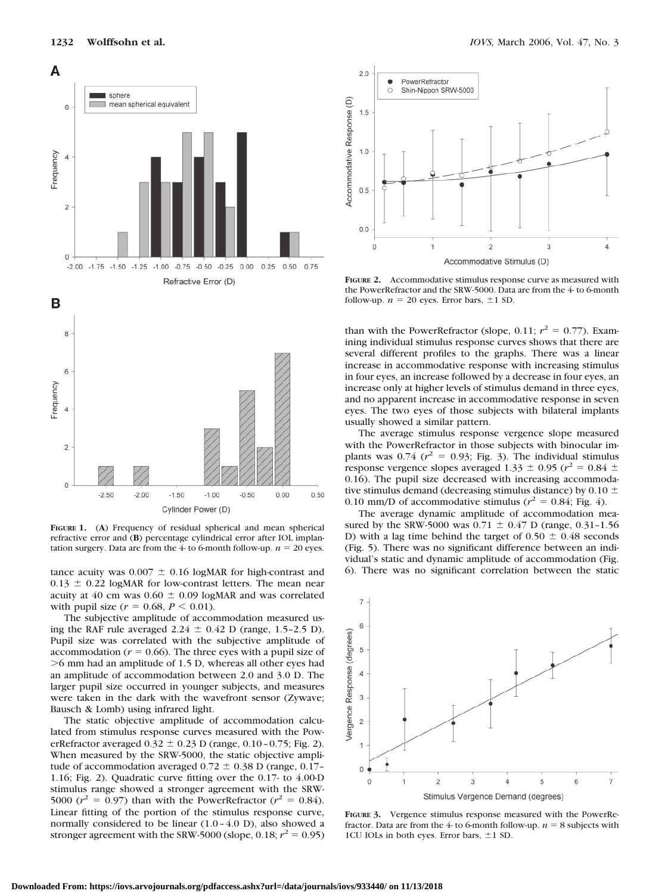



**FIGURE 1.** (**A**) Frequency of residual spherical and mean spherical refractive error and (**B**) percentage cylindrical error after IOL implantation surgery. Data are from the 4- to 6-month follow-up.  $n = 20$  eyes.

tance acuity was  $0.007 \pm 0.16$  logMAR for high-contrast and  $0.13 \pm 0.22$  logMAR for low-contrast letters. The mean near acuity at 40 cm was  $0.60 \pm 0.09$  logMAR and was correlated with pupil size  $(r = 0.68, P \le 0.01)$ .

The subjective amplitude of accommodation measured using the RAF rule averaged  $2.24 \pm 0.42$  D (range, 1.5-2.5 D). Pupil size was correlated with the subjective amplitude of accommodation  $(r = 0.66)$ . The three eyes with a pupil size of 6 mm had an amplitude of 1.5 D, whereas all other eyes had an amplitude of accommodation between 2.0 and 3.0 D. The larger pupil size occurred in younger subjects, and measures were taken in the dark with the wavefront sensor (Zywave; Bausch & Lomb) using infrared light.

The static objective amplitude of accommodation calculated from stimulus response curves measured with the PowerRefractor averaged  $0.32 \pm 0.23$  D (range,  $0.10 - 0.75$ ; Fig. 2). When measured by the SRW-5000, the static objective amplitude of accommodation averaged  $0.72 \pm 0.38$  D (range, 0.17– 1.16; Fig. 2). Quadratic curve fitting over the 0.17- to 4.00-D stimulus range showed a stronger agreement with the SRW-5000 ( $r^2 = 0.97$ ) than with the PowerRefractor ( $r^2 = 0.84$ ). Linear fitting of the portion of the stimulus response curve, normally considered to be linear (1.0–4.0 D), also showed a stronger agreement with the SRW-5000 (slope,  $0.18$ ;  $r^2 = 0.95$ )



**FIGURE 2.** Accommodative stimulus response curve as measured with the PowerRefractor and the SRW-5000. Data are from the 4- to 6-month follow-up.  $n = 20$  eyes. Error bars,  $\pm 1$  SD.

than with the PowerRefractor (slope, 0.11;  $r^2 = 0.77$ ). Examining individual stimulus response curves shows that there are several different profiles to the graphs. There was a linear increase in accommodative response with increasing stimulus in four eyes, an increase followed by a decrease in four eyes, an increase only at higher levels of stimulus demand in three eyes, and no apparent increase in accommodative response in seven eyes. The two eyes of those subjects with bilateral implants usually showed a similar pattern.

The average stimulus response vergence slope measured with the PowerRefractor in those subjects with binocular implants was  $0.74$  ( $r^2 = 0.93$ ; Fig. 3). The individual stimulus response vergence slopes averaged  $1.33 \pm 0.95$  ( $r^2 = 0.84 \pm 0.95$ ) 0.16). The pupil size decreased with increasing accommodative stimulus demand (decreasing stimulus distance) by 0.10  $\pm$ 0.10 mm/D of accommodative stimulus ( $r^2 = 0.84$ ; Fig. 4).

The average dynamic amplitude of accommodation measured by the SRW-5000 was  $0.71 \pm 0.47$  D (range, 0.31-1.56) D) with a lag time behind the target of  $0.50 \pm 0.48$  seconds (Fig. 5). There was no significant difference between an individual's static and dynamic amplitude of accommodation (Fig. 6). There was no significant correlation between the static



**FIGURE 3.** Vergence stimulus response measured with the PowerRefractor. Data are from the  $4$ - to 6-month follow-up.  $n = 8$  subjects with 1CU IOLs in both eyes. Error bars,  $\pm 1$  SD.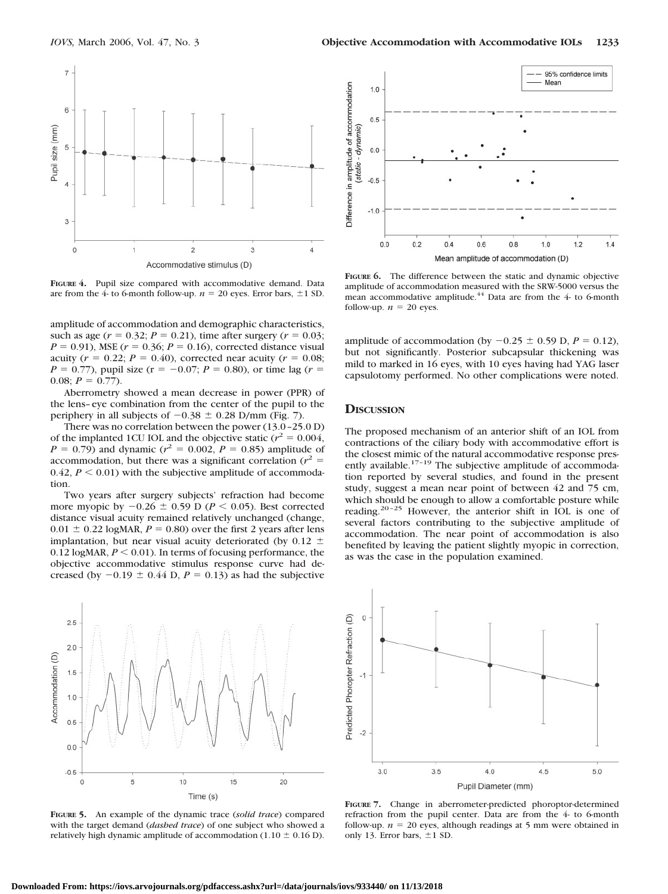

**FIGURE 4.** Pupil size compared with accommodative demand. Data are from the  $4$ - to 6-month follow-up.  $n = 20$  eyes. Error bars,  $\pm 1$  SD.

amplitude of accommodation and demographic characteristics, such as age  $(r = 0.32; P = 0.21)$ , time after surgery  $(r = 0.03;$  $P = 0.91$ ), MSE ( $r = 0.36$ ;  $P = 0.16$ ), corrected distance visual acuity ( $r = 0.22$ ;  $P = 0.40$ ), corrected near acuity ( $r = 0.08$ ;  $P = 0.77$ ), pupil size ( $r = -0.07$ ;  $P = 0.80$ ), or time lag ( $r =$ 0.08;  $P = 0.77$ ).

Aberrometry showed a mean decrease in power (PPR) of the lens–eye combination from the center of the pupil to the periphery in all subjects of  $-0.38 \pm 0.28$  D/mm (Fig. 7).

There was no correlation between the power (13.0–25.0 D) of the implanted 1CU IOL and the objective static  $(r^2 = 0.004,$  $P = 0.79$ ) and dynamic ( $r^2 = 0.002$ ,  $P = 0.85$ ) amplitude of accommodation, but there was a significant correlation ( $r^2$  = 0.42,  $P \leq 0.01$ ) with the subjective amplitude of accommodation.

Two years after surgery subjects' refraction had become more myopic by  $-0.26 \pm 0.59$  D ( $P \le 0.05$ ). Best corrected distance visual acuity remained relatively unchanged (change,  $0.01 \pm 0.22$  logMAR,  $P = 0.80$ ) over the first 2 years after lens implantation, but near visual acuity deteriorated (by 0.12  $\pm$ 0.12 logMAR,  $P \le 0.01$ ). In terms of focusing performance, the objective accommodative stimulus response curve had decreased (by  $-0.19 \pm 0.44$  D,  $P = 0.13$ ) as had the subjective



**FIGURE 5.** An example of the dynamic trace (*solid trace*) compared with the target demand (*dashed trace*) of one subject who showed a relatively high dynamic amplitude of accommodation  $(1.10 \pm 0.16 \text{ D})$ .



**FIGURE 6.** The difference between the static and dynamic objective amplitude of accommodation measured with the SRW-5000 versus the mean accommodative amplitude.<sup>44</sup> Data are from the 4- to 6-month follow-up.  $n = 20$  eyes.

amplitude of accommodation (by  $-0.25 \pm 0.59$  D,  $P = 0.12$ ), but not significantly. Posterior subcapsular thickening was mild to marked in 16 eyes, with 10 eyes having had YAG laser capsulotomy performed. No other complications were noted.

#### **DISCUSSION**

The proposed mechanism of an anterior shift of an IOL from contractions of the ciliary body with accommodative effort is the closest mimic of the natural accommodative response presently available.<sup>17-19</sup> The subjective amplitude of accommodation reported by several studies, and found in the present study, suggest a mean near point of between 42 and 75 cm, which should be enough to allow a comfortable posture while reading.20–25 However, the anterior shift in IOL is one of several factors contributing to the subjective amplitude of accommodation. The near point of accommodation is also benefited by leaving the patient slightly myopic in correction, as was the case in the population examined.



**FIGURE 7.** Change in aberrometer-predicted phoroptor-determined refraction from the pupil center. Data are from the 4- to 6-month follow-up.  $n = 20$  eyes, although readings at 5 mm were obtained in only 13. Error bars,  $\pm 1$  SD.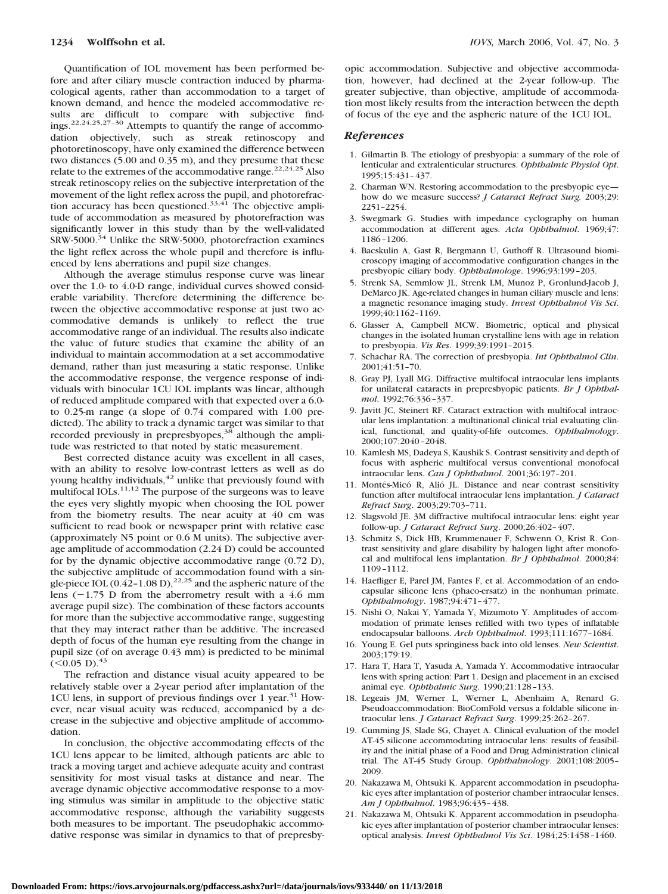Quantification of IOL movement has been performed before and after ciliary muscle contraction induced by pharmacological agents, rather than accommodation to a target of known demand, and hence the modeled accommodative results are difficult to compare with subjective findings.22,24,25,27–30 Attempts to quantify the range of accommodation objectively, such as streak retinoscopy and photoretinoscopy, have only examined the difference between two distances (5.00 and 0.35 m), and they presume that these relate to the extremes of the accommodative range.<sup>22,24,25</sup> Also streak retinoscopy relies on the subjective interpretation of the movement of the light reflex across the pupil, and photorefraction accuracy has been questioned.<sup>33,41</sup> The objective amplitude of accommodation as measured by photorefraction was significantly lower in this study than by the well-validated SRW-5000.<sup>34</sup> Unlike the SRW-5000, photorefraction examines the light reflex across the whole pupil and therefore is influenced by lens aberrations and pupil size changes.

Although the average stimulus response curve was linear over the 1.0- to 4.0-D range, individual curves showed considerable variability. Therefore determining the difference between the objective accommodative response at just two accommodative demands is unlikely to reflect the true accommodative range of an individual. The results also indicate the value of future studies that examine the ability of an individual to maintain accommodation at a set accommodative demand, rather than just measuring a static response. Unlike the accommodative response, the vergence response of individuals with binocular 1CU IOL implants was linear, although of reduced amplitude compared with that expected over a 6.0 to 0.25-m range (a slope of 0.74 compared with 1.00 predicted). The ability to track a dynamic target was similar to that recorded previously in prepresbyopes,<sup>38</sup> although the amplitude was restricted to that noted by static measurement.

Best corrected distance acuity was excellent in all cases, with an ability to resolve low-contrast letters as well as do young healthy individuals,<sup>42</sup> unlike that previously found with multifocal IOLs. $11,12$  The purpose of the surgeons was to leave the eyes very slightly myopic when choosing the IOL power from the biometry results. The near acuity at 40 cm was sufficient to read book or newspaper print with relative ease (approximately N5 point or 0.6 M units). The subjective average amplitude of accommodation (2.24 D) could be accounted for by the dynamic objective accommodative range (0.72 D), the subjective amplitude of accommodation found with a single-piece IOL  $(0.42 - 1.08 \text{ D})$ ,<sup>22,25</sup> and the aspheric nature of the lens  $(-1.75 \text{ D})$  from the aberrometry result with a 4.6 mm average pupil size). The combination of these factors accounts for more than the subjective accommodative range, suggesting that they may interact rather than be additive. The increased depth of focus of the human eye resulting from the change in pupil size (of on average 0.43 mm) is predicted to be minimal  $(<0.05$  D).<sup>43</sup>

The refraction and distance visual acuity appeared to be relatively stable over a 2-year period after implantation of the 1CU lens, in support of previous findings over 1 year.<sup>31</sup> However, near visual acuity was reduced, accompanied by a decrease in the subjective and objective amplitude of accommodation.

In conclusion, the objective accommodating effects of the 1CU lens appear to be limited, although patients are able to track a moving target and achieve adequate acuity and contrast sensitivity for most visual tasks at distance and near. The average dynamic objective accommodative response to a moving stimulus was similar in amplitude to the objective static accommodative response, although the variability suggests both measures to be important. The pseudophakic accommodative response was similar in dynamics to that of prepresbyopic accommodation. Subjective and objective accommodation, however, had declined at the 2-year follow-up. The greater subjective, than objective, amplitude of accommodation most likely results from the interaction between the depth of focus of the eye and the aspheric nature of the 1CU IOL.

## *References*

- 1. Gilmartin B. The etiology of presbyopia: a summary of the role of lenticular and extralenticular structures. *Ophthalmic Physiol Opt*. 1995;15:431–437.
- 2. Charman WN. Restoring accommodation to the presbyopic eye how do we measure success? *J Cataract Refract Surg.* 2003;29: 2251–2254.
- 3. Swegmark G. Studies with impedance cyclography on human accommodation at different ages. *Acta Ophthalmol*. 1969;47: 1186–1206.
- 4. Bacskulin A, Gast R, Bergmann U, Guthoff R. Ultrasound biomicroscopy imaging of accommodative configuration changes in the presbyopic ciliary body. *Ophthalmologe*. 1996;93:199–203.
- 5. Strenk SA, Semmlow JL, Strenk LM, Munoz P, Gronlund-Jacob J, DeMarco JK. Age-related changes in human ciliary muscle and lens: a magnetic resonance imaging study. *Invest Ophthalmol Vis Sci*. 1999;40:1162–1169.
- 6. Glasser A, Campbell MCW. Biometric, optical and physical changes in the isolated human crystalline lens with age in relation to presbyopia. *Vis Res*. 1999;39:1991–2015.
- 7. Schachar RA. The correction of presbyopia. *Int Ophthalmol Clin*. 2001;41:51–70.
- 8. Gray PJ, Lyall MG. Diffractive multifocal intraocular lens implants for unilateral cataracts in prepresbyopic patients. *Br J Ophthalmol*. 1992;76:336–337.
- 9. Javitt JC, Steinert RF. Cataract extraction with multifocal intraocular lens implantation: a multinational clinical trial evaluating clinical, functional, and quality-of-life outcomes. *Ophthalmology*. 2000;107:2040–2048.
- 10. Kamlesh MS, Dadeya S, Kaushik S. Contrast sensitivity and depth of focus with aspheric multifocal versus conventional monofocal intraocular lens. *Can J Ophthalmol*. 2001;36:197–201.
- 11. Montés-Micó R, Alió JL. Distance and near contrast sensitivity function after multifocal intraocular lens implantation. *J Cataract Refract Surg*. 2003;29:703–711.
- 12. Slagsvold JE. 3M diffractive multifocal intraocular lens: eight year follow-up. *J Cataract Refract Surg*. 2000;26:402–407.
- 13. Schmitz S, Dick HB, Krummenauer F, Schwenn O, Krist R. Contrast sensitivity and glare disability by halogen light after monofocal and multifocal lens implantation. *Br J Ophthalmol*. 2000;84: 1109–1112.
- 14. Haefliger E, Parel JM, Fantes F, et al. Accommodation of an endocapsular silicone lens (phaco-ersatz) in the nonhuman primate. *Ophthalmology*. 1987;94:471–477.
- 15. Nishi O, Nakai Y, Yamada Y, Mizumoto Y. Amplitudes of accommodation of primate lenses refilled with two types of inflatable endocapsular balloons. *Arch Ophthalmol*. 1993;111:1677–1684.
- 16. Young E. Gel puts springiness back into old lenses. *New Scientist*. 2003;179:19.
- 17. Hara T, Hara T, Yasuda A, Yamada Y. Accommodative intraocular lens with spring action: Part 1. Design and placement in an excised animal eye. *Ophthalmic Surg*. 1990;21:128–133.
- 18. Legeais JM, Werner L, Werner L, Abenhaim A, Renard G. Pseudoaccommodation: BioComFold versus a foldable silicone intraocular lens. *J Cataract Refract Surg*. 1999;25:262–267.
- 19. Cumming JS, Slade SG, Chayet A. Clinical evaluation of the model AT-45 silicone accommodating intraocular lens: results of feasibility and the initial phase of a Food and Drug Administration clinical trial. The AT-45 Study Group. *Ophthalmology*. 2001;108:2005– 2009.
- 20. Nakazawa M, Ohtsuki K. Apparent accommodation in pseudophakic eyes after implantation of posterior chamber intraocular lenses. *Am J Ophthalmol*. 1983;96:435–438.
- 21. Nakazawa M, Ohtsuki K. Apparent accommodation in pseudophakic eyes after implantation of posterior chamber intraocular lenses: optical analysis. *Invest Ophthalmol Vis Sci*. 1984;25:1458–1460.